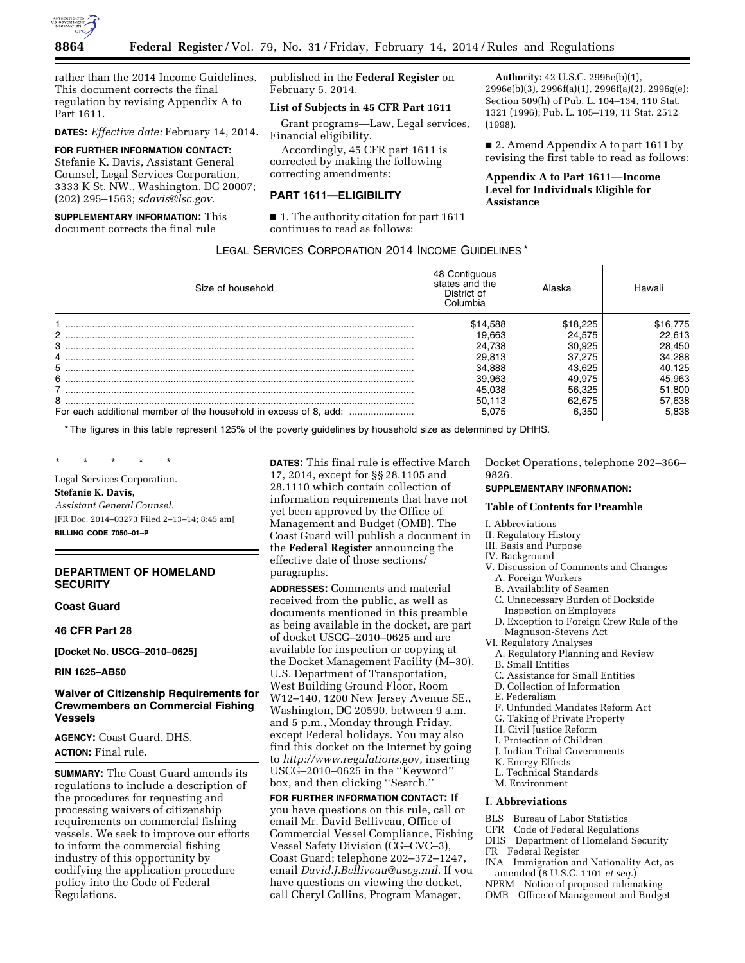

rather than the 2014 Income Guidelines. This document corrects the final regulation by revising Appendix A to Part 1611.

**DATES:** *Effective date:* February 14, 2014.

### **FOR FURTHER INFORMATION CONTACT:**

Stefanie K. Davis, Assistant General Counsel, Legal Services Corporation, 3333 K St. NW., Washington, DC 20007; (202) 295–1563; *[sdavis@lsc.gov](mailto:sdavis@lsc.gov)*.

### **SUPPLEMENTARY INFORMATION:** This document corrects the final rule

published in the **Federal Register** on February 5, 2014.

### **List of Subjects in 45 CFR Part 1611**

Grant programs—Law, Legal services, Financial eligibility.

Accordingly, 45 CFR part 1611 is corrected by making the following correcting amendments:

### **PART 1611—ELIGIBILITY**

■ 1. The authority citation for part 1611 continues to read as follows:

**Authority:** 42 U.S.C. 2996e(b)(1), 2996e(b)(3), 2996f(a)(1), 2996f(a)(2), 2996g(e); Section 509(h) of Pub. L. 104–134, 110 Stat. 1321 (1996); Pub. L. 105–119, 11 Stat. 2512 (1998).

■ 2. Amend Appendix A to part 1611 by revising the first table to read as follows:

# **Appendix A to Part 1611—Income Level for Individuals Eligible for Assistance**

### LEGAL SERVICES CORPORATION 2014 INCOME GUIDELINES \*

| Size of household | 48 Contiguous<br>states and the<br>District of<br>Columbia | Alaska   | Hawaii   |
|-------------------|------------------------------------------------------------|----------|----------|
|                   | \$14,588                                                   | \$18.225 | \$16,775 |
|                   | 19.663                                                     | 24.575   | 22,613   |
| 3                 | 24.738                                                     | 30.925   | 28,450   |
|                   | 29,813                                                     | 37.275   | 34,288   |
| 5                 | 34,888                                                     | 43.625   | 40,125   |
| 6                 | 39.963                                                     | 49.975   | 45,963   |
|                   | 45.038                                                     | 56.325   | 51,800   |
| 8                 | 50.113                                                     | 62.675   | 57,638   |
|                   | 5.075                                                      | 6.350    | 5.838    |

\* The figures in this table represent 125% of the poverty guidelines by household size as determined by DHHS.

\* \* \* \* \*

Legal Services Corporation. **Stefanie K. Davis,**  *Assistant General Counsel.*  [FR Doc. 2014–03273 Filed 2–13–14; 8:45 am]

**BILLING CODE 7050–01–P** 

### **DEPARTMENT OF HOMELAND SECURITY**

### **Coast Guard**

**46 CFR Part 28** 

**[Docket No. USCG–2010–0625]** 

**RIN 1625–AB50** 

# **Waiver of Citizenship Requirements for Crewmembers on Commercial Fishing Vessels**

**AGENCY:** Coast Guard, DHS. **ACTION:** Final rule.

**SUMMARY:** The Coast Guard amends its regulations to include a description of the procedures for requesting and processing waivers of citizenship requirements on commercial fishing vessels. We seek to improve our efforts to inform the commercial fishing industry of this opportunity by codifying the application procedure policy into the Code of Federal Regulations.

**DATES:** This final rule is effective March 17, 2014, except for §§ 28.1105 and 28.1110 which contain collection of information requirements that have not yet been approved by the Office of Management and Budget (OMB). The Coast Guard will publish a document in the **Federal Register** announcing the effective date of those sections/ paragraphs.

**ADDRESSES:** Comments and material received from the public, as well as documents mentioned in this preamble as being available in the docket, are part of docket USCG–2010–0625 and are available for inspection or copying at the Docket Management Facility (M–30), U.S. Department of Transportation, West Building Ground Floor, Room W12–140, 1200 New Jersey Avenue SE., Washington, DC 20590, between 9 a.m. and 5 p.m., Monday through Friday, except Federal holidays. You may also find this docket on the Internet by going to *[http://www.regulations.gov,](http://www.regulations.gov)* inserting USCG–2010–0625 in the ''Keyword'' box, and then clicking ''Search.''

**FOR FURTHER INFORMATION CONTACT:** If you have questions on this rule, call or email Mr. David Belliveau, Office of Commercial Vessel Compliance, Fishing Vessel Safety Division (CG–CVC–3), Coast Guard; telephone 202–372–1247, email *[David.J.Belliveau@uscg.mil.](mailto:David.J.Belliveau@uscg.mil)* If you have questions on viewing the docket, call Cheryl Collins, Program Manager,

Docket Operations, telephone 202–366– 9826.

### **SUPPLEMENTARY INFORMATION:**

### **Table of Contents for Preamble**

- I. Abbreviations
- II. Regulatory History
- III. Basis and Purpose
- IV. Background
- V. Discussion of Comments and Changes
- A. Foreign Workers
- B. Availability of Seamen
- C. Unnecessary Burden of Dockside Inspection on Employers
- D. Exception to Foreign Crew Rule of the Magnuson-Stevens Act
- VI. Regulatory Analyses
	- A. Regulatory Planning and Review
- B. Small Entities
- C. Assistance for Small Entities
- D. Collection of Information
- E. Federalism
- F. Unfunded Mandates Reform Act
- G. Taking of Private Property
- H. Civil Justice Reform
- I. Protection of Children
- J. Indian Tribal Governments
- K. Energy Effects
- L. Technical Standards
- M. Environment

### **I. Abbreviations**

- 
- **BLS** Bureau of Labor Statistics<br>CER Code of Federal Regulation Code of Federal Regulations
- DHS Department of Homeland Security
- FR Federal Register
- 
- INA Immigration and Nationality Act, as amended (8 U.S.C. 1101 *et seq.*)
- NPRM Notice of proposed rulemaking
- OMB Office of Management and Budget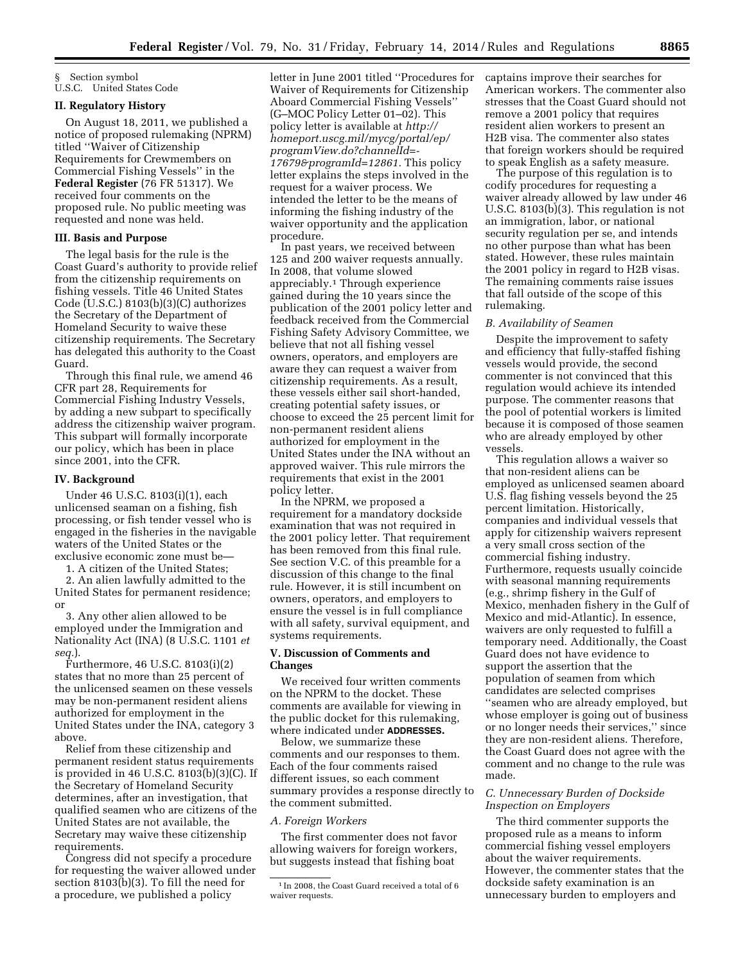§ Section symbol U.S.C. United States Code

# **II. Regulatory History**

On August 18, 2011, we published a notice of proposed rulemaking (NPRM) titled ''Waiver of Citizenship Requirements for Crewmembers on Commercial Fishing Vessels'' in the **Federal Register** (76 FR 51317). We received four comments on the proposed rule. No public meeting was requested and none was held.

# **III. Basis and Purpose**

The legal basis for the rule is the Coast Guard's authority to provide relief from the citizenship requirements on fishing vessels. Title 46 United States Code (U.S.C.) 8103(b)(3)(C) authorizes the Secretary of the Department of Homeland Security to waive these citizenship requirements. The Secretary has delegated this authority to the Coast Guard.

Through this final rule, we amend 46 CFR part 28, Requirements for Commercial Fishing Industry Vessels, by adding a new subpart to specifically address the citizenship waiver program. This subpart will formally incorporate our policy, which has been in place since 2001, into the CFR.

#### **IV. Background**

Under 46 U.S.C. 8103(i)(1), each unlicensed seaman on a fishing, fish processing, or fish tender vessel who is engaged in the fisheries in the navigable waters of the United States or the exclusive economic zone must be—

1. A citizen of the United States;

2. An alien lawfully admitted to the United States for permanent residence; or

3. Any other alien allowed to be employed under the Immigration and Nationality Act (INA) (8 U.S.C. 1101 *et seq.*).

Furthermore, 46 U.S.C. 8103(i)(2) states that no more than 25 percent of the unlicensed seamen on these vessels may be non-permanent resident aliens authorized for employment in the United States under the INA, category 3 above.

Relief from these citizenship and permanent resident status requirements is provided in 46 U.S.C. 8103(b)(3)(C). If the Secretary of Homeland Security determines, after an investigation, that qualified seamen who are citizens of the United States are not available, the Secretary may waive these citizenship requirements.

Congress did not specify a procedure for requesting the waiver allowed under section 8103(b)(3). To fill the need for a procedure, we published a policy

letter in June 2001 titled ''Procedures for Waiver of Requirements for Citizenship Aboard Commercial Fishing Vessels'' (G–MOC Policy Letter 01–02). This policy letter is available at *[http://](http://homeport.uscg.mil/mycg/portal/ep/programView.do?channelId=-17679&programId=12861) [homeport.uscg.mil/mycg/portal/ep/](http://homeport.uscg.mil/mycg/portal/ep/programView.do?channelId=-17679&programId=12861) [programView.do?channelId=-](http://homeport.uscg.mil/mycg/portal/ep/programView.do?channelId=-17679&programId=12861)  [17679&programId=12861.](http://homeport.uscg.mil/mycg/portal/ep/programView.do?channelId=-17679&programId=12861)* This policy letter explains the steps involved in the request for a waiver process. We intended the letter to be the means of informing the fishing industry of the waiver opportunity and the application procedure.

In past years, we received between 125 and 200 waiver requests annually. In 2008, that volume slowed appreciably.1 Through experience gained during the 10 years since the publication of the 2001 policy letter and feedback received from the Commercial Fishing Safety Advisory Committee, we believe that not all fishing vessel owners, operators, and employers are aware they can request a waiver from citizenship requirements. As a result, these vessels either sail short-handed, creating potential safety issues, or choose to exceed the 25 percent limit for non-permanent resident aliens authorized for employment in the United States under the INA without an approved waiver. This rule mirrors the requirements that exist in the 2001 policy letter.

In the NPRM, we proposed a requirement for a mandatory dockside examination that was not required in the 2001 policy letter. That requirement has been removed from this final rule. See section V.C. of this preamble for a discussion of this change to the final rule. However, it is still incumbent on owners, operators, and employers to ensure the vessel is in full compliance with all safety, survival equipment, and systems requirements.

### **V. Discussion of Comments and Changes**

We received four written comments on the NPRM to the docket. These comments are available for viewing in the public docket for this rulemaking, where indicated under **ADDRESSES.** 

Below, we summarize these comments and our responses to them. Each of the four comments raised different issues, so each comment summary provides a response directly to the comment submitted.

### *A. Foreign Workers*

The first commenter does not favor allowing waivers for foreign workers, but suggests instead that fishing boat

captains improve their searches for American workers. The commenter also stresses that the Coast Guard should not remove a 2001 policy that requires resident alien workers to present an H2B visa. The commenter also states that foreign workers should be required to speak English as a safety measure.

The purpose of this regulation is to codify procedures for requesting a waiver already allowed by law under 46 U.S.C. 8103(b)(3). This regulation is not an immigration, labor, or national security regulation per se, and intends no other purpose than what has been stated. However, these rules maintain the 2001 policy in regard to H2B visas. The remaining comments raise issues that fall outside of the scope of this rulemaking.

#### *B. Availability of Seamen*

Despite the improvement to safety and efficiency that fully-staffed fishing vessels would provide, the second commenter is not convinced that this regulation would achieve its intended purpose. The commenter reasons that the pool of potential workers is limited because it is composed of those seamen who are already employed by other vessels.

This regulation allows a waiver so that non-resident aliens can be employed as unlicensed seamen aboard U.S. flag fishing vessels beyond the 25 percent limitation. Historically, companies and individual vessels that apply for citizenship waivers represent a very small cross section of the commercial fishing industry. Furthermore, requests usually coincide with seasonal manning requirements (e.g., shrimp fishery in the Gulf of Mexico, menhaden fishery in the Gulf of Mexico and mid-Atlantic). In essence, waivers are only requested to fulfill a temporary need. Additionally, the Coast Guard does not have evidence to support the assertion that the population of seamen from which candidates are selected comprises ''seamen who are already employed, but whose employer is going out of business or no longer needs their services,'' since they are non-resident aliens. Therefore, the Coast Guard does not agree with the comment and no change to the rule was made.

### *C. Unnecessary Burden of Dockside Inspection on Employers*

The third commenter supports the proposed rule as a means to inform commercial fishing vessel employers about the waiver requirements. However, the commenter states that the dockside safety examination is an unnecessary burden to employers and

<sup>&</sup>lt;sup>1</sup> In 2008, the Coast Guard received a total of 6 waiver requests.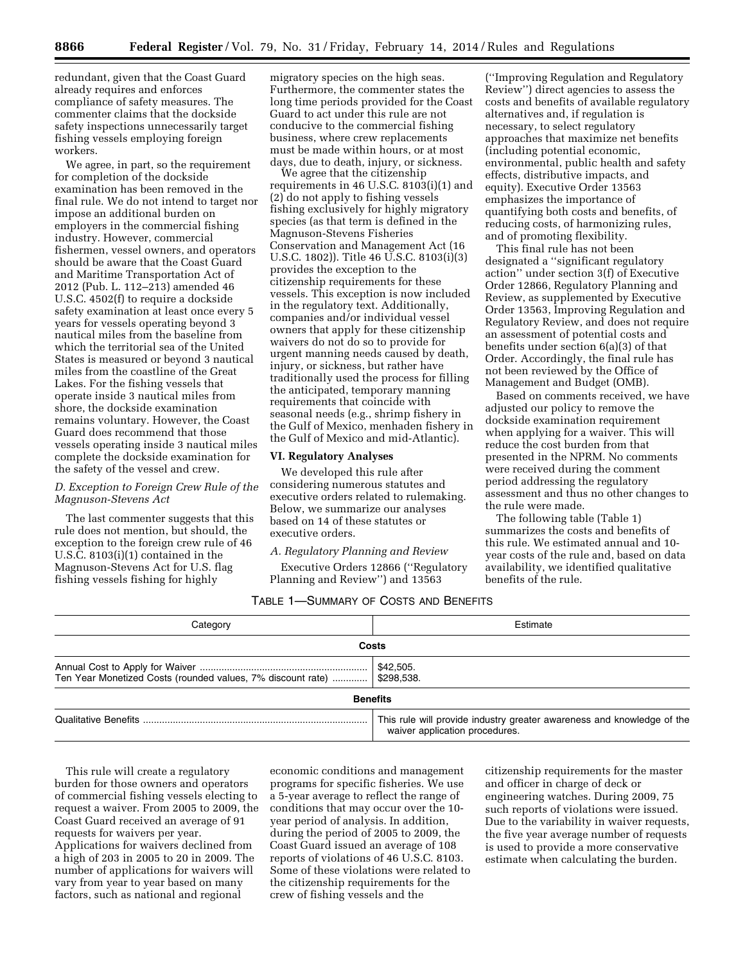redundant, given that the Coast Guard already requires and enforces compliance of safety measures. The commenter claims that the dockside safety inspections unnecessarily target fishing vessels employing foreign workers.

We agree, in part, so the requirement for completion of the dockside examination has been removed in the final rule. We do not intend to target nor impose an additional burden on employers in the commercial fishing industry. However, commercial fishermen, vessel owners, and operators should be aware that the Coast Guard and Maritime Transportation Act of 2012 (Pub. L. 112–213) amended 46 U.S.C. 4502(f) to require a dockside safety examination at least once every 5 years for vessels operating beyond 3 nautical miles from the baseline from which the territorial sea of the United States is measured or beyond 3 nautical miles from the coastline of the Great Lakes. For the fishing vessels that operate inside 3 nautical miles from shore, the dockside examination remains voluntary. However, the Coast Guard does recommend that those vessels operating inside 3 nautical miles complete the dockside examination for the safety of the vessel and crew.

### *D. Exception to Foreign Crew Rule of the Magnuson-Stevens Act*

The last commenter suggests that this rule does not mention, but should, the exception to the foreign crew rule of 46 U.S.C. 8103(i)(1) contained in the Magnuson-Stevens Act for U.S. flag fishing vessels fishing for highly

migratory species on the high seas. Furthermore, the commenter states the long time periods provided for the Coast Guard to act under this rule are not conducive to the commercial fishing business, where crew replacements must be made within hours, or at most days, due to death, injury, or sickness.

We agree that the citizenship requirements in 46 U.S.C. 8103(i)(1) and (2) do not apply to fishing vessels fishing exclusively for highly migratory species (as that term is defined in the Magnuson-Stevens Fisheries Conservation and Management Act (16 U.S.C. 1802)). Title 46 U.S.C. 8103(i)(3) provides the exception to the citizenship requirements for these vessels. This exception is now included in the regulatory text. Additionally, companies and/or individual vessel owners that apply for these citizenship waivers do not do so to provide for urgent manning needs caused by death, injury, or sickness, but rather have traditionally used the process for filling the anticipated, temporary manning requirements that coincide with seasonal needs (e.g., shrimp fishery in the Gulf of Mexico, menhaden fishery in the Gulf of Mexico and mid-Atlantic).

### **VI. Regulatory Analyses**

We developed this rule after considering numerous statutes and executive orders related to rulemaking. Below, we summarize our analyses based on 14 of these statutes or executive orders.

*A. Regulatory Planning and Review* 

Executive Orders 12866 (''Regulatory Planning and Review'') and 13563

(''Improving Regulation and Regulatory Review'') direct agencies to assess the costs and benefits of available regulatory alternatives and, if regulation is necessary, to select regulatory approaches that maximize net benefits (including potential economic, environmental, public health and safety effects, distributive impacts, and equity). Executive Order 13563 emphasizes the importance of quantifying both costs and benefits, of reducing costs, of harmonizing rules, and of promoting flexibility.

This final rule has not been designated a ''significant regulatory action'' under section 3(f) of Executive Order 12866, Regulatory Planning and Review, as supplemented by Executive Order 13563, Improving Regulation and Regulatory Review, and does not require an assessment of potential costs and benefits under section 6(a)(3) of that Order. Accordingly, the final rule has not been reviewed by the Office of Management and Budget (OMB).

Based on comments received, we have adjusted our policy to remove the dockside examination requirement when applying for a waiver. This will reduce the cost burden from that presented in the NPRM. No comments were received during the comment period addressing the regulatory assessment and thus no other changes to the rule were made.

The following table (Table 1) summarizes the costs and benefits of this rule. We estimated annual and 10 year costs of the rule and, based on data availability, we identified qualitative benefits of the rule.

### TABLE 1—SUMMARY OF COSTS AND BENEFITS

| Category                                                                | Estimate                                                                                                 |  |  |
|-------------------------------------------------------------------------|----------------------------------------------------------------------------------------------------------|--|--|
| Costs                                                                   |                                                                                                          |  |  |
| Ten Year Monetized Costs (rounded values, 7% discount rate)  \$298,538. | \$42,505.                                                                                                |  |  |
|                                                                         | <b>Benefits</b>                                                                                          |  |  |
|                                                                         | This rule will provide industry greater awareness and knowledge of the<br>waiver application procedures. |  |  |

This rule will create a regulatory burden for those owners and operators of commercial fishing vessels electing to request a waiver. From 2005 to 2009, the Coast Guard received an average of 91 requests for waivers per year. Applications for waivers declined from a high of 203 in 2005 to 20 in 2009. The number of applications for waivers will vary from year to year based on many factors, such as national and regional

economic conditions and management programs for specific fisheries. We use a 5-year average to reflect the range of conditions that may occur over the 10 year period of analysis. In addition, during the period of 2005 to 2009, the Coast Guard issued an average of 108 reports of violations of 46 U.S.C. 8103. Some of these violations were related to the citizenship requirements for the crew of fishing vessels and the

citizenship requirements for the master and officer in charge of deck or engineering watches. During 2009, 75 such reports of violations were issued. Due to the variability in waiver requests, the five year average number of requests is used to provide a more conservative estimate when calculating the burden.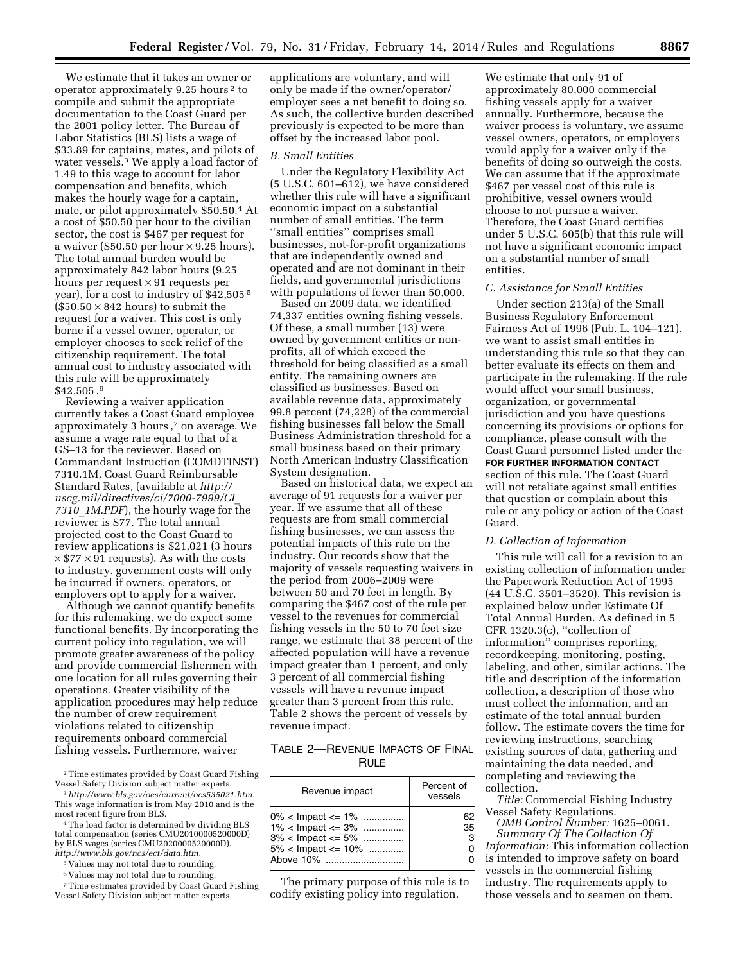We estimate that it takes an owner or operator approximately 9.25 hours 2 to compile and submit the appropriate documentation to the Coast Guard per the 2001 policy letter. The Bureau of Labor Statistics (BLS) lists a wage of \$33.89 for captains, mates, and pilots of water vessels.3 We apply a load factor of 1.49 to this wage to account for labor compensation and benefits, which makes the hourly wage for a captain, mate, or pilot approximately \$50.50.4 At a cost of \$50.50 per hour to the civilian sector, the cost is \$467 per request for a waiver (\$50.50 per hour  $\times$  9.25 hours). The total annual burden would be approximately 842 labor hours (9.25 hours per request  $\times$  91 requests per year), for a cost to industry of \$42,505 5  $(\$50.50 \times 842$  hours) to submit the request for a waiver. This cost is only borne if a vessel owner, operator, or employer chooses to seek relief of the citizenship requirement. The total annual cost to industry associated with this rule will be approximately \$42,505 .6

Reviewing a waiver application currently takes a Coast Guard employee approximately 3 hours ,7 on average. We assume a wage rate equal to that of a GS–13 for the reviewer. Based on Commandant Instruction (COMDTINST) 7310.1M, Coast Guard Reimbursable Standard Rates, (available at *[http://](http://uscg.mil/directives/ci/7000-7999/CI_7310_1M.PDF) [uscg.mil/directives/ci/7000-7999/CI](http://uscg.mil/directives/ci/7000-7999/CI_7310_1M.PDF)*\_ *7310*\_*[1M.PDF](http://uscg.mil/directives/ci/7000-7999/CI_7310_1M.PDF)*), the hourly wage for the reviewer is \$77. The total annual projected cost to the Coast Guard to review applications is \$21,021 (3 hours  $\times$  \$77  $\times$  91 requests). As with the costs to industry, government costs will only be incurred if owners, operators, or employers opt to apply for a waiver.

Although we cannot quantify benefits for this rulemaking, we do expect some functional benefits. By incorporating the current policy into regulation, we will promote greater awareness of the policy and provide commercial fishermen with one location for all rules governing their operations. Greater visibility of the application procedures may help reduce the number of crew requirement violations related to citizenship requirements onboard commercial fishing vessels. Furthermore, waiver

4The load factor is determined by dividing BLS total compensation (series CMU2010000520000D) by BLS wages (series CMU2020000520000D). *[http://www.bls.gov/ncs/ect/data.htm.](http://www.bls.gov/ncs/ect/data.htm)* 

5 Values may not total due to rounding.

6 Values may not total due to rounding.

7Time estimates provided by Coast Guard Fishing Vessel Safety Division subject matter experts.

applications are voluntary, and will only be made if the owner/operator/ employer sees a net benefit to doing so. As such, the collective burden described previously is expected to be more than offset by the increased labor pool.

#### *B. Small Entities*

Under the Regulatory Flexibility Act (5 U.S.C. 601–612), we have considered whether this rule will have a significant economic impact on a substantial number of small entities. The term ''small entities'' comprises small businesses, not-for-profit organizations that are independently owned and operated and are not dominant in their fields, and governmental jurisdictions with populations of fewer than 50,000.

Based on 2009 data, we identified 74,337 entities owning fishing vessels. Of these, a small number (13) were owned by government entities or nonprofits, all of which exceed the threshold for being classified as a small entity. The remaining owners are classified as businesses. Based on available revenue data, approximately 99.8 percent (74,228) of the commercial fishing businesses fall below the Small Business Administration threshold for a small business based on their primary North American Industry Classification System designation.

Based on historical data, we expect an average of 91 requests for a waiver per year. If we assume that all of these requests are from small commercial fishing businesses, we can assess the potential impacts of this rule on the industry. Our records show that the majority of vessels requesting waivers in the period from 2006–2009 were between 50 and 70 feet in length. By comparing the \$467 cost of the rule per vessel to the revenues for commercial fishing vessels in the 50 to 70 feet size range, we estimate that 38 percent of the affected population will have a revenue impact greater than 1 percent, and only 3 percent of all commercial fishing vessels will have a revenue impact greater than 3 percent from this rule. Table 2 shows the percent of vessels by revenue impact.

# TABLE 2—REVENUE IMPACTS OF FINAL **RULE**

| Revenue impact                                                                                             | Percent of<br>vessels |
|------------------------------------------------------------------------------------------------------------|-----------------------|
| $0\%$ < Impact <= 1%<br>$1\%$ < Impact <= 3%<br>$3\%$ < Impact <= 5%<br>$5\%$ < Impact <= 10%<br>Ahove 10% | 35<br>з               |

The primary purpose of this rule is to codify existing policy into regulation.

We estimate that only 91 of approximately 80,000 commercial fishing vessels apply for a waiver annually. Furthermore, because the waiver process is voluntary, we assume vessel owners, operators, or employers would apply for a waiver only if the benefits of doing so outweigh the costs. We can assume that if the approximate \$467 per vessel cost of this rule is prohibitive, vessel owners would choose to not pursue a waiver. Therefore, the Coast Guard certifies under 5 U.S.C. 605(b) that this rule will not have a significant economic impact on a substantial number of small entities.

#### *C. Assistance for Small Entities*

Under section 213(a) of the Small Business Regulatory Enforcement Fairness Act of 1996 (Pub. L. 104–121), we want to assist small entities in understanding this rule so that they can better evaluate its effects on them and participate in the rulemaking. If the rule would affect your small business, organization, or governmental jurisdiction and you have questions concerning its provisions or options for compliance, please consult with the Coast Guard personnel listed under the **FOR FURTHER INFORMATION CONTACT** section of this rule. The Coast Guard will not retaliate against small entities that question or complain about this rule or any policy or action of the Coast Guard.

### *D. Collection of Information*

This rule will call for a revision to an existing collection of information under the Paperwork Reduction Act of 1995 (44 U.S.C. 3501–3520). This revision is explained below under Estimate Of Total Annual Burden. As defined in 5 CFR 1320.3(c), ''collection of information'' comprises reporting, recordkeeping, monitoring, posting, labeling, and other, similar actions. The title and description of the information collection, a description of those who must collect the information, and an estimate of the total annual burden follow. The estimate covers the time for reviewing instructions, searching existing sources of data, gathering and maintaining the data needed, and completing and reviewing the collection.

*Title:* Commercial Fishing Industry Vessel Safety Regulations.

*OMB Control Number:* 1625–0061. *Summary Of The Collection Of Information:* This information collection is intended to improve safety on board vessels in the commercial fishing industry. The requirements apply to those vessels and to seamen on them.

 $\,{}^2$  Time estimates provided by Coast Guard Fishing Vessel Safety Division subject matter experts. 3*[http://www.bls.gov/oes/current/oes535021.htm.](http://www.bls.gov/oes/current/oes535021.htm)* 

This wage information is from May 2010 and is the most recent figure from BLS.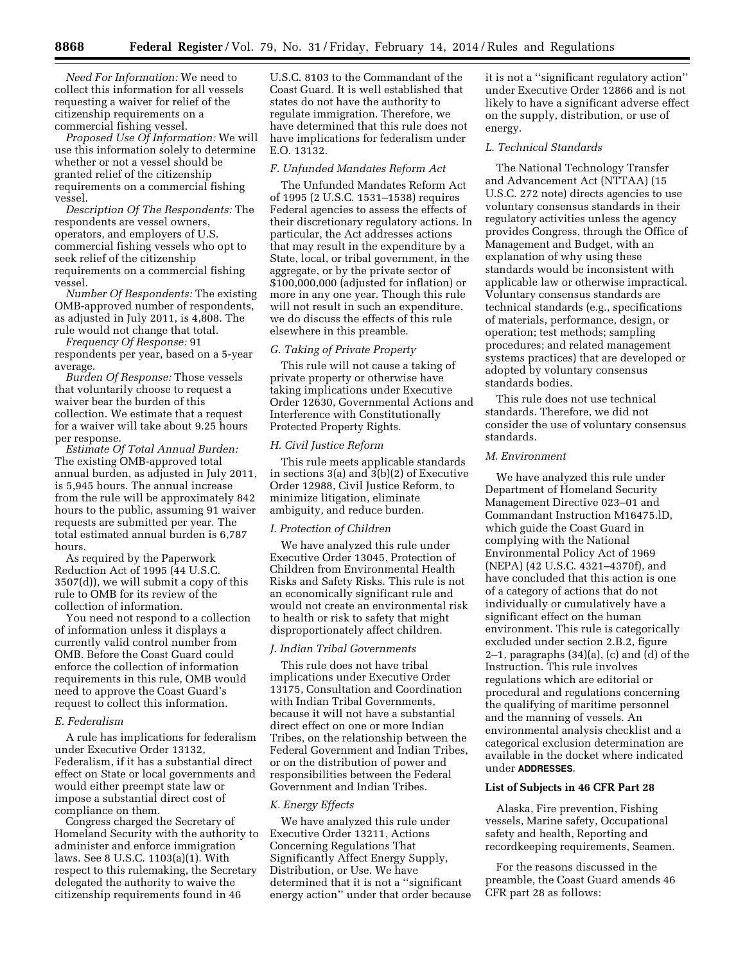*Need For Information:* We need to collect this information for all vessels requesting a waiver for relief of the citizenship requirements on a commercial fishing vessel.

*Proposed Use Of Information:* We will use this information solely to determine whether or not a vessel should be granted relief of the citizenship requirements on a commercial fishing vessel.

*Description Of The Respondents:* The respondents are vessel owners, operators, and employers of U.S. commercial fishing vessels who opt to seek relief of the citizenship requirements on a commercial fishing vessel.

*Number Of Respondents:* The existing OMB-approved number of respondents, as adjusted in July 2011, is 4,808. The rule would not change that total.

*Frequency Of Response:* 91 respondents per year, based on a 5-year average.

*Burden Of Response:* Those vessels that voluntarily choose to request a waiver bear the burden of this collection. We estimate that a request for a waiver will take about 9.25 hours per response.

*Estimate Of Total Annual Burden:*  The existing OMB-approved total annual burden, as adjusted in July 2011, is 5,945 hours. The annual increase from the rule will be approximately 842 hours to the public, assuming 91 waiver requests are submitted per year. The total estimated annual burden is 6,787 hours.

As required by the Paperwork Reduction Act of 1995 (44 U.S.C. 3507(d)), we will submit a copy of this rule to OMB for its review of the collection of information.

You need not respond to a collection of information unless it displays a currently valid control number from OMB. Before the Coast Guard could enforce the collection of information requirements in this rule, OMB would need to approve the Coast Guard's request to collect this information.

#### *E. Federalism*

A rule has implications for federalism under Executive Order 13132, Federalism, if it has a substantial direct effect on State or local governments and would either preempt state law or impose a substantial direct cost of compliance on them.

Congress charged the Secretary of Homeland Security with the authority to administer and enforce immigration laws. See 8 U.S.C. 1103(a)(1). With respect to this rulemaking, the Secretary delegated the authority to waive the citizenship requirements found in 46

U.S.C. 8103 to the Commandant of the Coast Guard. It is well established that states do not have the authority to regulate immigration. Therefore, we have determined that this rule does not have implications for federalism under E.O. 13132.

#### *F. Unfunded Mandates Reform Act*

The Unfunded Mandates Reform Act of 1995 (2 U.S.C. 1531–1538) requires Federal agencies to assess the effects of their discretionary regulatory actions. In particular, the Act addresses actions that may result in the expenditure by a State, local, or tribal government, in the aggregate, or by the private sector of \$100,000,000 (adjusted for inflation) or more in any one year. Though this rule will not result in such an expenditure, we do discuss the effects of this rule elsewhere in this preamble.

### *G. Taking of Private Property*

This rule will not cause a taking of private property or otherwise have taking implications under Executive Order 12630, Governmental Actions and Interference with Constitutionally Protected Property Rights.

#### *H. Civil Justice Reform*

This rule meets applicable standards in sections 3(a) and 3(b)(2) of Executive Order 12988, Civil Justice Reform, to minimize litigation, eliminate ambiguity, and reduce burden.

#### *I. Protection of Children*

We have analyzed this rule under Executive Order 13045, Protection of Children from Environmental Health Risks and Safety Risks. This rule is not an economically significant rule and would not create an environmental risk to health or risk to safety that might disproportionately affect children.

### *J. Indian Tribal Governments*

This rule does not have tribal implications under Executive Order 13175, Consultation and Coordination with Indian Tribal Governments, because it will not have a substantial direct effect on one or more Indian Tribes, on the relationship between the Federal Government and Indian Tribes, or on the distribution of power and responsibilities between the Federal Government and Indian Tribes.

### *K. Energy Effects*

We have analyzed this rule under Executive Order 13211, Actions Concerning Regulations That Significantly Affect Energy Supply, Distribution, or Use. We have determined that it is not a ''significant energy action'' under that order because it is not a ''significant regulatory action'' under Executive Order 12866 and is not likely to have a significant adverse effect on the supply, distribution, or use of energy.

### *L. Technical Standards*

The National Technology Transfer and Advancement Act (NTTAA) (15 U.S.C. 272 note) directs agencies to use voluntary consensus standards in their regulatory activities unless the agency provides Congress, through the Office of Management and Budget, with an explanation of why using these standards would be inconsistent with applicable law or otherwise impractical. Voluntary consensus standards are technical standards (e.g., specifications of materials, performance, design, or operation; test methods; sampling procedures; and related management systems practices) that are developed or adopted by voluntary consensus standards bodies.

This rule does not use technical standards. Therefore, we did not consider the use of voluntary consensus standards.

### *M. Environment*

We have analyzed this rule under Department of Homeland Security Management Directive 023–01 and Commandant Instruction M16475.lD, which guide the Coast Guard in complying with the National Environmental Policy Act of 1969 (NEPA) (42 U.S.C. 4321–4370f), and have concluded that this action is one of a category of actions that do not individually or cumulatively have a significant effect on the human environment. This rule is categorically excluded under section 2.B.2, figure 2–1, paragraphs (34)(a), (c) and (d) of the Instruction. This rule involves regulations which are editorial or procedural and regulations concerning the qualifying of maritime personnel and the manning of vessels. An environmental analysis checklist and a categorical exclusion determination are available in the docket where indicated under **ADDRESSES**.

### **List of Subjects in 46 CFR Part 28**

Alaska, Fire prevention, Fishing vessels, Marine safety, Occupational safety and health, Reporting and recordkeeping requirements, Seamen.

For the reasons discussed in the preamble, the Coast Guard amends 46 CFR part 28 as follows: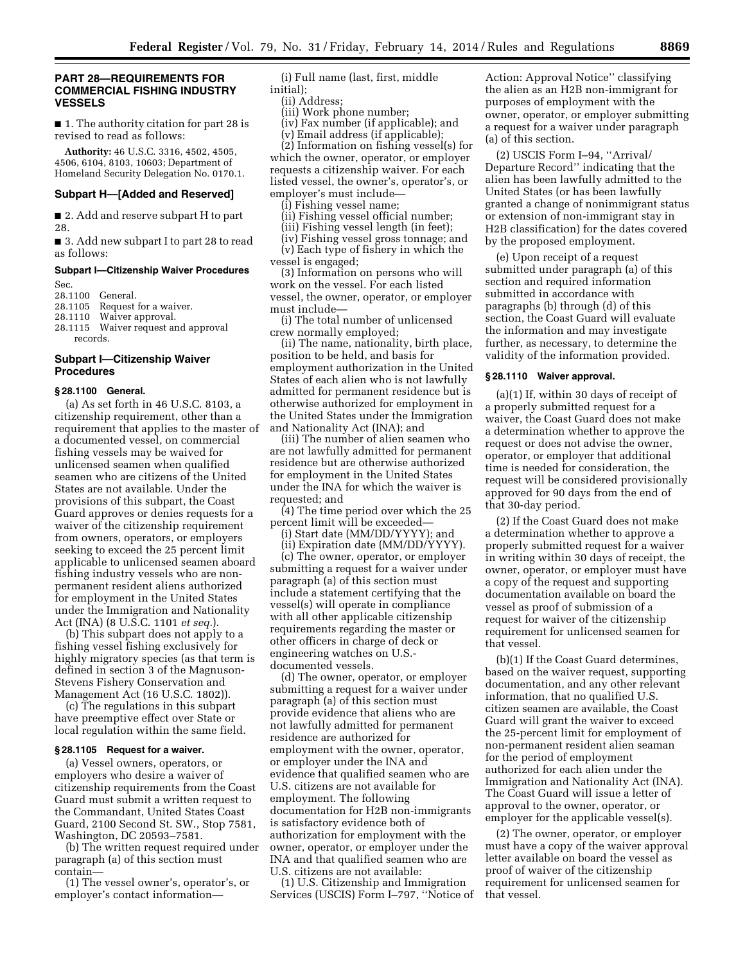### **PART 28—REQUIREMENTS FOR COMMERCIAL FISHING INDUSTRY VESSELS**

■ 1. The authority citation for part 28 is revised to read as follows:

**Authority:** 46 U.S.C. 3316, 4502, 4505, 4506, 6104, 8103, 10603; Department of Homeland Security Delegation No. 0170.1.

#### **Subpart H—[Added and Reserved]**

■ 2. Add and reserve subpart H to part 28.

■ 3. Add new subpart I to part 28 to read as follows:

### **Subpart I—Citizenship Waiver Procedures**

Sec.

28.1100 General.<br>28.1105 Request

28.1105 Request for a waiver.<br>28.1110 Waiver approval.

Waiver approval.

28.1115 Waiver request and approval records.

### **Subpart I—Citizenship Waiver Procedures**

#### **§ 28.1100 General.**

(a) As set forth in 46 U.S.C. 8103, a citizenship requirement, other than a requirement that applies to the master of a documented vessel, on commercial fishing vessels may be waived for unlicensed seamen when qualified seamen who are citizens of the United States are not available. Under the provisions of this subpart, the Coast Guard approves or denies requests for a waiver of the citizenship requirement from owners, operators, or employers seeking to exceed the 25 percent limit applicable to unlicensed seamen aboard fishing industry vessels who are nonpermanent resident aliens authorized for employment in the United States under the Immigration and Nationality Act (INA) (8 U.S.C. 1101 *et seq.*).

(b) This subpart does not apply to a fishing vessel fishing exclusively for highly migratory species (as that term is defined in section 3 of the Magnuson-Stevens Fishery Conservation and Management Act (16 U.S.C. 1802)).

(c) The regulations in this subpart have preemptive effect over State or local regulation within the same field.

#### **§ 28.1105 Request for a waiver.**

(a) Vessel owners, operators, or employers who desire a waiver of citizenship requirements from the Coast Guard must submit a written request to the Commandant, United States Coast Guard, 2100 Second St. SW., Stop 7581, Washington, DC 20593–7581.

(b) The written request required under paragraph (a) of this section must contain—

(1) The vessel owner's, operator's, or employer's contact information—

(i) Full name (last, first, middle initial);

(ii) Address;

(iii) Work phone number;

(iv) Fax number (if applicable); and (v) Email address (if applicable);

(2) Information on fishing vessel(s) for

which the owner, operator, or employer requests a citizenship waiver. For each listed vessel, the owner's, operator's, or employer's must include—

(i) Fishing vessel name;

- (ii) Fishing vessel official number;
- (iii) Fishing vessel length (in feet);

(iv) Fishing vessel gross tonnage; and (v) Each type of fishery in which the

vessel is engaged;

(3) Information on persons who will work on the vessel. For each listed vessel, the owner, operator, or employer must include—

(i) The total number of unlicensed crew normally employed;

(ii) The name, nationality, birth place, position to be held, and basis for employment authorization in the United States of each alien who is not lawfully admitted for permanent residence but is otherwise authorized for employment in the United States under the Immigration and Nationality Act (INA); and

(iii) The number of alien seamen who are not lawfully admitted for permanent residence but are otherwise authorized for employment in the United States under the INA for which the waiver is requested; and

(4) The time period over which the 25 percent limit will be exceeded—

(i) Start date (MM/DD/YYYY); and

(ii) Expiration date (MM/DD/YYYY).

(c) The owner, operator, or employer submitting a request for a waiver under paragraph (a) of this section must include a statement certifying that the vessel(s) will operate in compliance with all other applicable citizenship requirements regarding the master or other officers in charge of deck or engineering watches on U.S. documented vessels.

(d) The owner, operator, or employer submitting a request for a waiver under paragraph (a) of this section must provide evidence that aliens who are not lawfully admitted for permanent residence are authorized for employment with the owner, operator, or employer under the INA and evidence that qualified seamen who are U.S. citizens are not available for employment. The following documentation for H2B non-immigrants is satisfactory evidence both of authorization for employment with the owner, operator, or employer under the INA and that qualified seamen who are U.S. citizens are not available:

(1) U.S. Citizenship and Immigration Services (USCIS) Form I–797, ''Notice of

Action: Approval Notice'' classifying the alien as an H2B non-immigrant for purposes of employment with the owner, operator, or employer submitting a request for a waiver under paragraph (a) of this section.

(2) USCIS Form I–94, ''Arrival/ Departure Record'' indicating that the alien has been lawfully admitted to the United States (or has been lawfully granted a change of nonimmigrant status or extension of non-immigrant stay in H2B classification) for the dates covered by the proposed employment.

(e) Upon receipt of a request submitted under paragraph (a) of this section and required information submitted in accordance with paragraphs (b) through (d) of this section, the Coast Guard will evaluate the information and may investigate further, as necessary, to determine the validity of the information provided.

#### **§ 28.1110 Waiver approval.**

(a)(1) If, within 30 days of receipt of a properly submitted request for a waiver, the Coast Guard does not make a determination whether to approve the request or does not advise the owner, operator, or employer that additional time is needed for consideration, the request will be considered provisionally approved for 90 days from the end of that 30-day period.

(2) If the Coast Guard does not make a determination whether to approve a properly submitted request for a waiver in writing within 30 days of receipt, the owner, operator, or employer must have a copy of the request and supporting documentation available on board the vessel as proof of submission of a request for waiver of the citizenship requirement for unlicensed seamen for that vessel.

(b)(1) If the Coast Guard determines, based on the waiver request, supporting documentation, and any other relevant information, that no qualified U.S. citizen seamen are available, the Coast Guard will grant the waiver to exceed the 25-percent limit for employment of non-permanent resident alien seaman for the period of employment authorized for each alien under the Immigration and Nationality Act (INA). The Coast Guard will issue a letter of approval to the owner, operator, or employer for the applicable vessel(s).

(2) The owner, operator, or employer must have a copy of the waiver approval letter available on board the vessel as proof of waiver of the citizenship requirement for unlicensed seamen for that vessel.